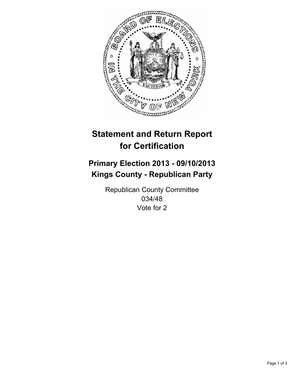

# **Statement and Return Report for Certification**

# **Primary Election 2013 - 09/10/2013 Kings County - Republican Party**

Republican County Committee 034/48 Vote for 2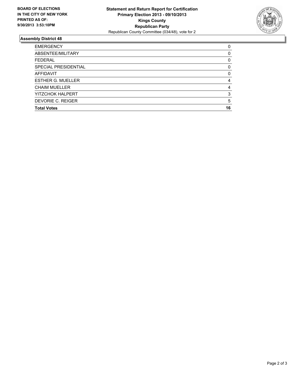

## **Assembly District 48**

| <b>EMERGENCY</b>         | 0  |
|--------------------------|----|
| ABSENTEE/MILITARY        | 0  |
| <b>FEDERAL</b>           | 0  |
| SPECIAL PRESIDENTIAL     | 0  |
| <b>AFFIDAVIT</b>         | 0  |
| <b>ESTHER G. MUELLER</b> | 4  |
| <b>CHAIM MUELLER</b>     | 4  |
| YITZCHOK HALPERT         | 3  |
| DEVORIE C. REIGER        | 5  |
| <b>Total Votes</b>       | 16 |